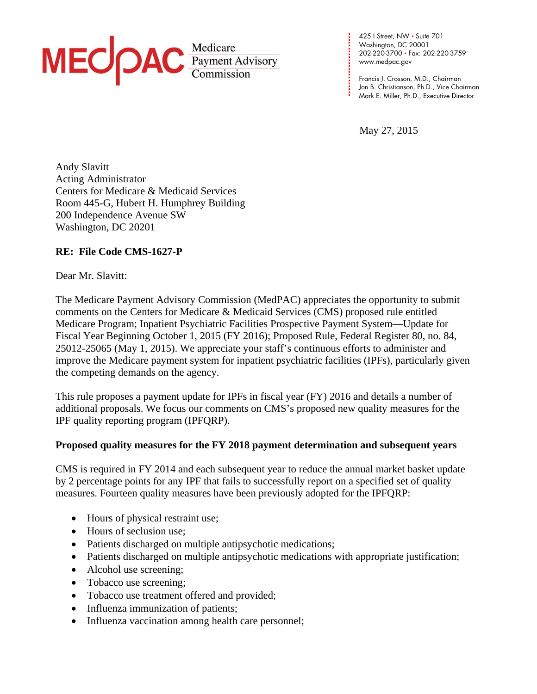

**. . . .**  www.medpac.gov 425 I Street, NW • Suite 701 Washington, DC 20001 202-220-3700 • Fax: 202-220-3759

**. . . .**  Francis J. Crosson, M.D., Chairman Jon B. Christianson, Ph.D., Vice Chairman Mark E. Miller, Ph.D., Executive Director

May 27, 2015

**. . . . . . . . .** 

**.** 

**. . . .**

Andy Slavitt Acting Administrator Centers for Medicare & Medicaid Services Room 445-G, Hubert H. Humphrey Building 200 Independence Avenue SW Washington, DC 20201

# **RE: File Code CMS-1627-P**

#### Dear Mr. Slavitt:

The Medicare Payment Advisory Commission (MedPAC) appreciates the opportunity to submit comments on the Centers for Medicare & Medicaid Services (CMS) proposed rule entitled Medicare Program; Inpatient Psychiatric Facilities Prospective Payment System—Update for Fiscal Year Beginning October 1, 2015 (FY 2016); Proposed Rule, Federal Register 80, no. 84, 25012-25065 (May 1, 2015). We appreciate your staff's continuous efforts to administer and improve the Medicare payment system for inpatient psychiatric facilities (IPFs), particularly given the competing demands on the agency.

This rule proposes a payment update for IPFs in fiscal year (FY) 2016 and details a number of additional proposals. We focus our comments on CMS's proposed new quality measures for the IPF quality reporting program (IPFQRP).

## **Proposed quality measures for the FY 2018 payment determination and subsequent years**

CMS is required in FY 2014 and each subsequent year to reduce the annual market basket update by 2 percentage points for any IPF that fails to successfully report on a specified set of quality measures. Fourteen quality measures have been previously adopted for the IPFQRP:

- Hours of physical restraint use;
- Hours of seclusion use;
- Patients discharged on multiple antipsychotic medications;
- Patients discharged on multiple antipsychotic medications with appropriate justification;
- Alcohol use screening;
- Tobacco use screening;
- Tobacco use treatment offered and provided;
- Influenza immunization of patients;
- Influenza vaccination among health care personnel;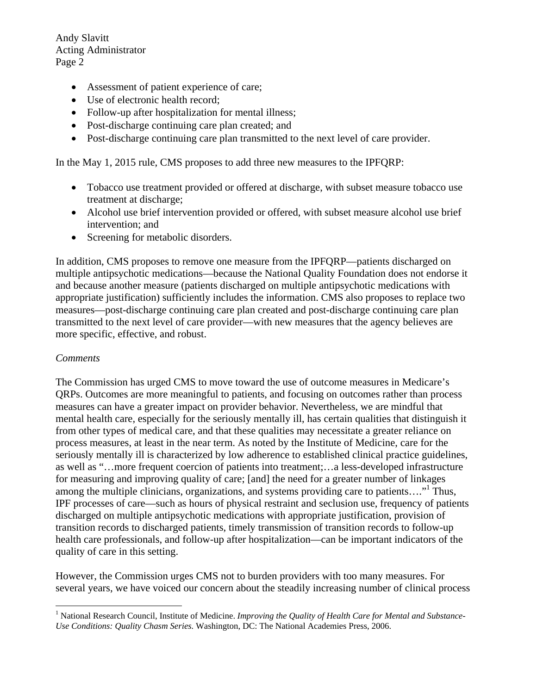Andy Slavitt Acting Administrator Page 2

- Assessment of patient experience of care;
- Use of electronic health record;
- Follow-up after hospitalization for mental illness;
- Post-discharge continuing care plan created; and
- Post-discharge continuing care plan transmitted to the next level of care provider.

In the May 1, 2015 rule, CMS proposes to add three new measures to the IPFQRP:

- Tobacco use treatment provided or offered at discharge, with subset measure tobacco use treatment at discharge;
- Alcohol use brief intervention provided or offered, with subset measure alcohol use brief intervention; and
- Screening for metabolic disorders.

In addition, CMS proposes to remove one measure from the IPFQRP—patients discharged on multiple antipsychotic medications—because the National Quality Foundation does not endorse it and because another measure (patients discharged on multiple antipsychotic medications with appropriate justification) sufficiently includes the information. CMS also proposes to replace two measures—post-discharge continuing care plan created and post-discharge continuing care plan transmitted to the next level of care provider—with new measures that the agency believes are more specific, effective, and robust.

#### *Comments*

1

The Commission has urged CMS to move toward the use of outcome measures in Medicare's QRPs. Outcomes are more meaningful to patients, and focusing on outcomes rather than process measures can have a greater impact on provider behavior. Nevertheless, we are mindful that mental health care, especially for the seriously mentally ill, has certain qualities that distinguish it from other types of medical care, and that these qualities may necessitate a greater reliance on process measures, at least in the near term. As noted by the Institute of Medicine, care for the seriously mentally ill is characterized by low adherence to established clinical practice guidelines, as well as "…more frequent coercion of patients into treatment;…a less-developed infrastructure for measuring and improving quality of care; [and] the need for a greater number of linkages among the multiple clinicians, organizations, and systems providing care to patients...."<sup>1</sup> Thus, IPF processes of care—such as hours of physical restraint and seclusion use, frequency of patients discharged on multiple antipsychotic medications with appropriate justification, provision of transition records to discharged patients, timely transmission of transition records to follow-up health care professionals, and follow-up after hospitalization—can be important indicators of the quality of care in this setting.

However, the Commission urges CMS not to burden providers with too many measures. For several years, we have voiced our concern about the steadily increasing number of clinical process

<sup>&</sup>lt;sup>1</sup> National Research Council, Institute of Medicine. Improving the Quality of Health Care for Mental and Substance-*Use Conditions: Quality Chasm Series.* Washington, DC: The National Academies Press, 2006.